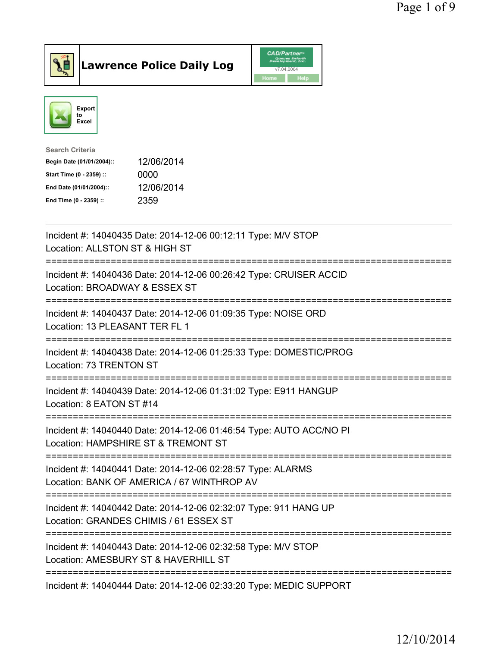



| Search Criteria           |            |
|---------------------------|------------|
| Begin Date (01/01/2004):: | 12/06/2014 |
| Start Time (0 - 2359) ::  | 0000       |
| End Date (01/01/2004)::   | 12/06/2014 |
| End Time (0 - 2359) ::    | 2359       |
|                           |            |

| Incident #: 14040435 Date: 2014-12-06 00:12:11 Type: M/V STOP<br>Location: ALLSTON ST & HIGH ST                                                                            |
|----------------------------------------------------------------------------------------------------------------------------------------------------------------------------|
| Incident #: 14040436 Date: 2014-12-06 00:26:42 Type: CRUISER ACCID<br>Location: BROADWAY & ESSEX ST<br>----------------------                                              |
| Incident #: 14040437 Date: 2014-12-06 01:09:35 Type: NOISE ORD<br>Location: 13 PLEASANT TER FL 1<br>:======================<br>.----------                                 |
| Incident #: 14040438 Date: 2014-12-06 01:25:33 Type: DOMESTIC/PROG<br>Location: 73 TRENTON ST<br>======================================<br>:============================== |
| Incident #: 14040439 Date: 2014-12-06 01:31:02 Type: E911 HANGUP<br>Location: 8 EATON ST #14                                                                               |
| Incident #: 14040440 Date: 2014-12-06 01:46:54 Type: AUTO ACC/NO PI<br>Location: HAMPSHIRE ST & TREMONT ST<br>=============================                                |
| Incident #: 14040441 Date: 2014-12-06 02:28:57 Type: ALARMS<br>Location: BANK OF AMERICA / 67 WINTHROP AV                                                                  |
| ================================<br>Incident #: 14040442 Date: 2014-12-06 02:32:07 Type: 911 HANG UP<br>Location: GRANDES CHIMIS / 61 ESSEX ST                             |
| Incident #: 14040443 Date: 2014-12-06 02:32:58 Type: M/V STOP<br>Location: AMESBURY ST & HAVERHILL ST                                                                      |
| Incident #: 14040444 Date: 2014-12-06 02:33:20 Type: MEDIC SUPPORT                                                                                                         |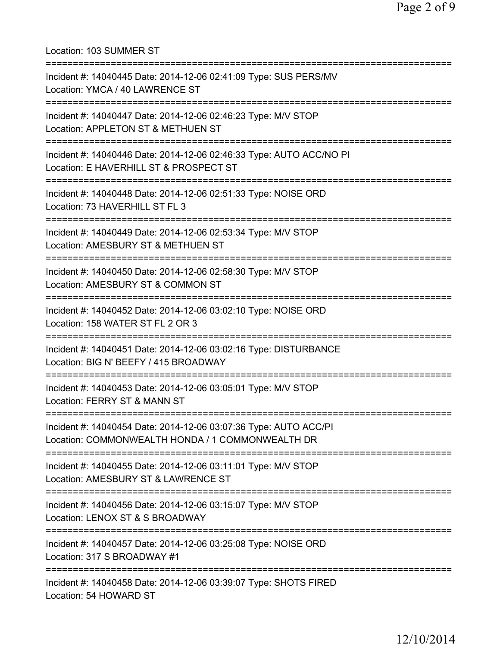Location: 103 SUMMER ST =========================================================================== Incident #: 14040445 Date: 2014-12-06 02:41:09 Type: SUS PERS/MV Location: YMCA / 40 LAWRENCE ST =========================================================================== Incident #: 14040447 Date: 2014-12-06 02:46:23 Type: M/V STOP Location: APPLETON ST & METHUEN ST =========================================================================== Incident #: 14040446 Date: 2014-12-06 02:46:33 Type: AUTO ACC/NO PI Location: E HAVERHILL ST & PROSPECT ST =========================================================================== Incident #: 14040448 Date: 2014-12-06 02:51:33 Type: NOISE ORD Location: 73 HAVERHILL ST FL 3 =========================================================================== Incident #: 14040449 Date: 2014-12-06 02:53:34 Type: M/V STOP Location: AMESBURY ST & METHUEN ST =========================================================================== Incident #: 14040450 Date: 2014-12-06 02:58:30 Type: M/V STOP Location: AMESBURY ST & COMMON ST =========================================================================== Incident #: 14040452 Date: 2014-12-06 03:02:10 Type: NOISE ORD Location: 158 WATER ST FL 2 OR 3 =========================================================================== Incident #: 14040451 Date: 2014-12-06 03:02:16 Type: DISTURBANCE Location: BIG N' BEEFY / 415 BROADWAY =========================================================================== Incident #: 14040453 Date: 2014-12-06 03:05:01 Type: M/V STOP Location: FERRY ST & MANN ST =========================================================================== Incident #: 14040454 Date: 2014-12-06 03:07:36 Type: AUTO ACC/PI Location: COMMONWEALTH HONDA / 1 COMMONWEALTH DR =========================================================================== Incident #: 14040455 Date: 2014-12-06 03:11:01 Type: M/V STOP Location: AMESBURY ST & LAWRENCE ST =========================================================================== Incident #: 14040456 Date: 2014-12-06 03:15:07 Type: M/V STOP Location: LENOX ST & S BROADWAY =========================================================================== Incident #: 14040457 Date: 2014-12-06 03:25:08 Type: NOISE ORD Location: 317 S BROADWAY #1 =========================================================================== Incident #: 14040458 Date: 2014-12-06 03:39:07 Type: SHOTS FIRED Location: 54 HOWARD ST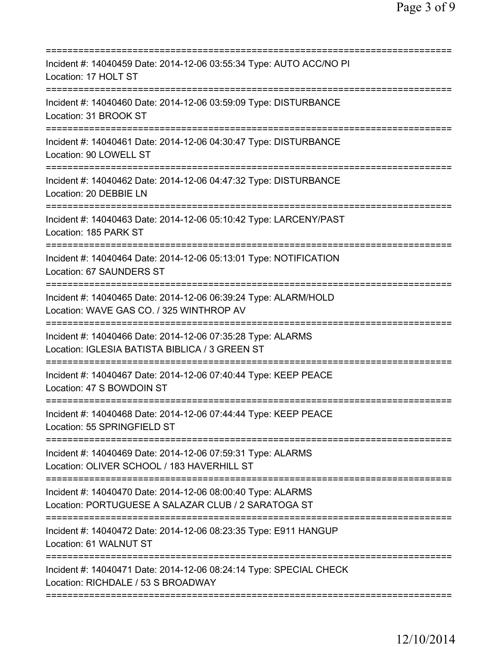| Incident #: 14040459 Date: 2014-12-06 03:55:34 Type: AUTO ACC/NO PI<br>Location: 17 HOLT ST<br>==============      |
|--------------------------------------------------------------------------------------------------------------------|
| Incident #: 14040460 Date: 2014-12-06 03:59:09 Type: DISTURBANCE<br>Location: 31 BROOK ST                          |
| Incident #: 14040461 Date: 2014-12-06 04:30:47 Type: DISTURBANCE<br>Location: 90 LOWELL ST                         |
| Incident #: 14040462 Date: 2014-12-06 04:47:32 Type: DISTURBANCE<br>Location: 20 DEBBIE LN                         |
| Incident #: 14040463 Date: 2014-12-06 05:10:42 Type: LARCENY/PAST<br>Location: 185 PARK ST                         |
| Incident #: 14040464 Date: 2014-12-06 05:13:01 Type: NOTIFICATION<br>Location: 67 SAUNDERS ST                      |
| Incident #: 14040465 Date: 2014-12-06 06:39:24 Type: ALARM/HOLD<br>Location: WAVE GAS CO. / 325 WINTHROP AV        |
| Incident #: 14040466 Date: 2014-12-06 07:35:28 Type: ALARMS<br>Location: IGLESIA BATISTA BIBLICA / 3 GREEN ST      |
| Incident #: 14040467 Date: 2014-12-06 07:40:44 Type: KEEP PEACE<br>Location: 47 S BOWDOIN ST                       |
| Incident #: 14040468 Date: 2014-12-06 07:44:44 Type: KEEP PEACE<br>Location: 55 SPRINGFIELD ST                     |
| Incident #: 14040469 Date: 2014-12-06 07:59:31 Type: ALARMS<br>Location: OLIVER SCHOOL / 183 HAVERHILL ST          |
| Incident #: 14040470 Date: 2014-12-06 08:00:40 Type: ALARMS<br>Location: PORTUGUESE A SALAZAR CLUB / 2 SARATOGA ST |
| Incident #: 14040472 Date: 2014-12-06 08:23:35 Type: E911 HANGUP<br>Location: 61 WALNUT ST                         |
| Incident #: 14040471 Date: 2014-12-06 08:24:14 Type: SPECIAL CHECK<br>Location: RICHDALE / 53 S BROADWAY           |
|                                                                                                                    |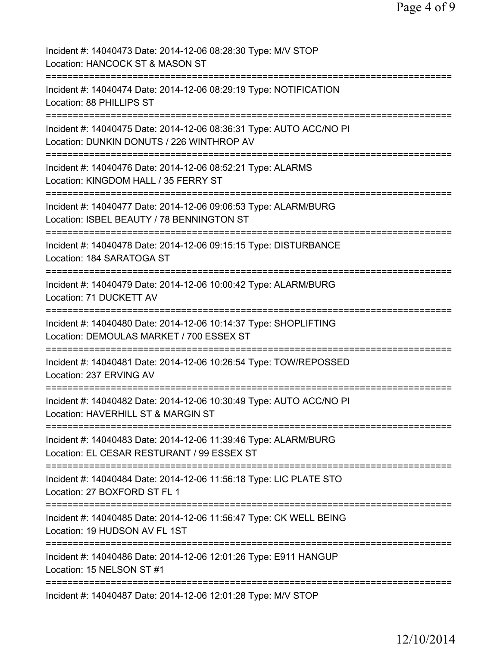| Incident #: 14040473 Date: 2014-12-06 08:28:30 Type: M/V STOP<br>Location: HANCOCK ST & MASON ST                                              |
|-----------------------------------------------------------------------------------------------------------------------------------------------|
| Incident #: 14040474 Date: 2014-12-06 08:29:19 Type: NOTIFICATION<br>Location: 88 PHILLIPS ST                                                 |
| Incident #: 14040475 Date: 2014-12-06 08:36:31 Type: AUTO ACC/NO PI<br>Location: DUNKIN DONUTS / 226 WINTHROP AV                              |
| Incident #: 14040476 Date: 2014-12-06 08:52:21 Type: ALARMS<br>Location: KINGDOM HALL / 35 FERRY ST                                           |
| Incident #: 14040477 Date: 2014-12-06 09:06:53 Type: ALARM/BURG<br>Location: ISBEL BEAUTY / 78 BENNINGTON ST<br>============================= |
| Incident #: 14040478 Date: 2014-12-06 09:15:15 Type: DISTURBANCE<br>Location: 184 SARATOGA ST<br>================================             |
| Incident #: 14040479 Date: 2014-12-06 10:00:42 Type: ALARM/BURG<br>Location: 71 DUCKETT AV                                                    |
| Incident #: 14040480 Date: 2014-12-06 10:14:37 Type: SHOPLIFTING<br>Location: DEMOULAS MARKET / 700 ESSEX ST                                  |
| Incident #: 14040481 Date: 2014-12-06 10:26:54 Type: TOW/REPOSSED<br>Location: 237 ERVING AV                                                  |
| Incident #: 14040482 Date: 2014-12-06 10:30:49 Type: AUTO ACC/NO PI<br>Location: HAVERHILL ST & MARGIN ST                                     |
| Incident #: 14040483 Date: 2014-12-06 11:39:46 Type: ALARM/BURG<br>Location: EL CESAR RESTURANT / 99 ESSEX ST                                 |
| Incident #: 14040484 Date: 2014-12-06 11:56:18 Type: LIC PLATE STO<br>Location: 27 BOXFORD ST FL 1                                            |
| Incident #: 14040485 Date: 2014-12-06 11:56:47 Type: CK WELL BEING<br>Location: 19 HUDSON AV FL 1ST                                           |
| ========================<br>===============<br>Incident #: 14040486 Date: 2014-12-06 12:01:26 Type: E911 HANGUP<br>Location: 15 NELSON ST #1  |
| Incident #: 14040487 Date: 2014-12-06 12:01:28 Type: M/V STOP                                                                                 |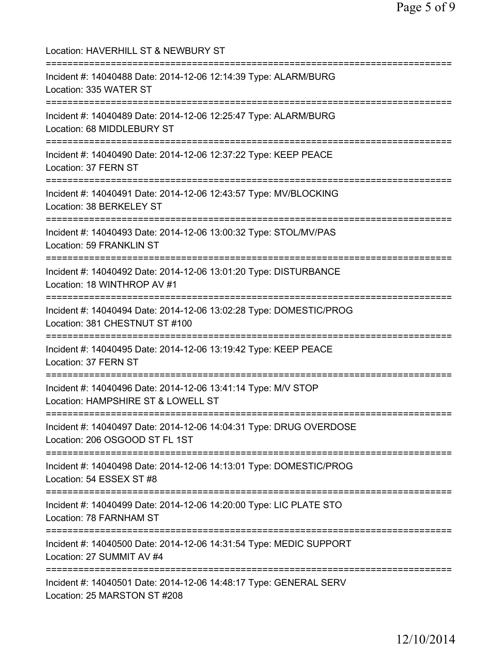| Location: HAVERHILL ST & NEWBURY ST                                                                                                                                |
|--------------------------------------------------------------------------------------------------------------------------------------------------------------------|
| Incident #: 14040488 Date: 2014-12-06 12:14:39 Type: ALARM/BURG<br>Location: 335 WATER ST                                                                          |
| Incident #: 14040489 Date: 2014-12-06 12:25:47 Type: ALARM/BURG<br>Location: 68 MIDDLEBURY ST                                                                      |
| Incident #: 14040490 Date: 2014-12-06 12:37:22 Type: KEEP PEACE<br>Location: 37 FERN ST                                                                            |
| Incident #: 14040491 Date: 2014-12-06 12:43:57 Type: MV/BLOCKING<br>Location: 38 BERKELEY ST                                                                       |
| ==============================<br>Incident #: 14040493 Date: 2014-12-06 13:00:32 Type: STOL/MV/PAS<br>Location: 59 FRANKLIN ST                                     |
| ================================<br>Incident #: 14040492 Date: 2014-12-06 13:01:20 Type: DISTURBANCE<br>Location: 18 WINTHROP AV #1<br>:========================== |
| Incident #: 14040494 Date: 2014-12-06 13:02:28 Type: DOMESTIC/PROG<br>Location: 381 CHESTNUT ST #100                                                               |
| Incident #: 14040495 Date: 2014-12-06 13:19:42 Type: KEEP PEACE<br>Location: 37 FERN ST                                                                            |
| Incident #: 14040496 Date: 2014-12-06 13:41:14 Type: M/V STOP<br>Location: HAMPSHIRE ST & LOWELL ST                                                                |
| Incident #: 14040497 Date: 2014-12-06 14:04:31 Type: DRUG OVERDOSE<br>Location: 206 OSGOOD ST FL 1ST                                                               |
| Incident #: 14040498 Date: 2014-12-06 14:13:01 Type: DOMESTIC/PROG<br>Location: 54 ESSEX ST #8                                                                     |
| Incident #: 14040499 Date: 2014-12-06 14:20:00 Type: LIC PLATE STO<br>Location: 78 FARNHAM ST                                                                      |
| Incident #: 14040500 Date: 2014-12-06 14:31:54 Type: MEDIC SUPPORT<br>Location: 27 SUMMIT AV #4                                                                    |
| Incident #: 14040501 Date: 2014-12-06 14:48:17 Type: GENERAL SERV<br>Location: 25 MARSTON ST #208                                                                  |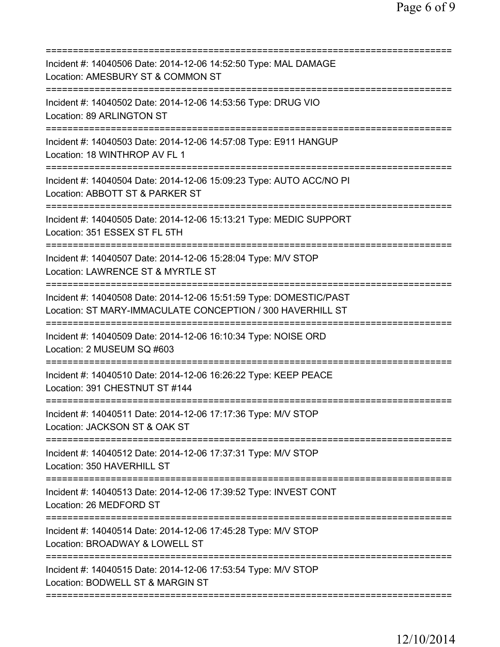| Incident #: 14040506 Date: 2014-12-06 14:52:50 Type: MAL DAMAGE<br>Location: AMESBURY ST & COMMON ST<br>=============================== |
|-----------------------------------------------------------------------------------------------------------------------------------------|
| Incident #: 14040502 Date: 2014-12-06 14:53:56 Type: DRUG VIO<br>Location: 89 ARLINGTON ST<br>======================                    |
| Incident #: 14040503 Date: 2014-12-06 14:57:08 Type: E911 HANGUP<br>Location: 18 WINTHROP AV FL 1                                       |
| Incident #: 14040504 Date: 2014-12-06 15:09:23 Type: AUTO ACC/NO PI<br>Location: ABBOTT ST & PARKER ST                                  |
| Incident #: 14040505 Date: 2014-12-06 15:13:21 Type: MEDIC SUPPORT<br>Location: 351 ESSEX ST FL 5TH                                     |
| Incident #: 14040507 Date: 2014-12-06 15:28:04 Type: M/V STOP<br>Location: LAWRENCE ST & MYRTLE ST                                      |
| Incident #: 14040508 Date: 2014-12-06 15:51:59 Type: DOMESTIC/PAST<br>Location: ST MARY-IMMACULATE CONCEPTION / 300 HAVERHILL ST        |
| Incident #: 14040509 Date: 2014-12-06 16:10:34 Type: NOISE ORD<br>Location: 2 MUSEUM SQ #603                                            |
| Incident #: 14040510 Date: 2014-12-06 16:26:22 Type: KEEP PEACE<br>Location: 391 CHESTNUT ST #144                                       |
| Incident #: 14040511 Date: 2014-12-06 17:17:36 Type: M/V STOP<br>Location: JACKSON ST & OAK ST                                          |
| Incident #: 14040512 Date: 2014-12-06 17:37:31 Type: M/V STOP<br>Location: 350 HAVERHILL ST                                             |
| Incident #: 14040513 Date: 2014-12-06 17:39:52 Type: INVEST CONT<br>Location: 26 MEDFORD ST<br>------------------------------------     |
| Incident #: 14040514 Date: 2014-12-06 17:45:28 Type: M/V STOP<br>Location: BROADWAY & LOWELL ST                                         |
| Incident #: 14040515 Date: 2014-12-06 17:53:54 Type: M/V STOP<br>Location: BODWELL ST & MARGIN ST                                       |
|                                                                                                                                         |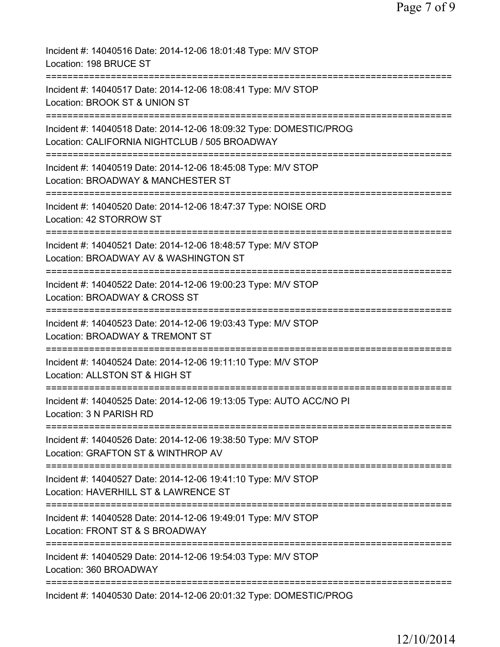| Incident #: 14040516 Date: 2014-12-06 18:01:48 Type: M/V STOP<br>Location: 198 BRUCE ST                             |
|---------------------------------------------------------------------------------------------------------------------|
| Incident #: 14040517 Date: 2014-12-06 18:08:41 Type: M/V STOP<br>Location: BROOK ST & UNION ST                      |
| Incident #: 14040518 Date: 2014-12-06 18:09:32 Type: DOMESTIC/PROG<br>Location: CALIFORNIA NIGHTCLUB / 505 BROADWAY |
| Incident #: 14040519 Date: 2014-12-06 18:45:08 Type: M/V STOP<br>Location: BROADWAY & MANCHESTER ST                 |
| Incident #: 14040520 Date: 2014-12-06 18:47:37 Type: NOISE ORD<br>Location: 42 STORROW ST                           |
| Incident #: 14040521 Date: 2014-12-06 18:48:57 Type: M/V STOP<br>Location: BROADWAY AV & WASHINGTON ST              |
| Incident #: 14040522 Date: 2014-12-06 19:00:23 Type: M/V STOP<br>Location: BROADWAY & CROSS ST                      |
| Incident #: 14040523 Date: 2014-12-06 19:03:43 Type: M/V STOP<br>Location: BROADWAY & TREMONT ST                    |
| Incident #: 14040524 Date: 2014-12-06 19:11:10 Type: M/V STOP<br>Location: ALLSTON ST & HIGH ST                     |
| Incident #: 14040525 Date: 2014-12-06 19:13:05 Type: AUTO ACC/NO PI<br>Location: 3 N PARISH RD                      |
| Incident #: 14040526 Date: 2014-12-06 19:38:50 Type: M/V STOP<br>Location: GRAFTON ST & WINTHROP AV                 |
| Incident #: 14040527 Date: 2014-12-06 19:41:10 Type: M/V STOP<br>Location: HAVERHILL ST & LAWRENCE ST               |
| Incident #: 14040528 Date: 2014-12-06 19:49:01 Type: M/V STOP<br>Location: FRONT ST & S BROADWAY                    |
| Incident #: 14040529 Date: 2014-12-06 19:54:03 Type: M/V STOP<br>Location: 360 BROADWAY                             |
| Incident #: 14040530 Date: 2014-12-06 20:01:32 Type: DOMESTIC/PROG                                                  |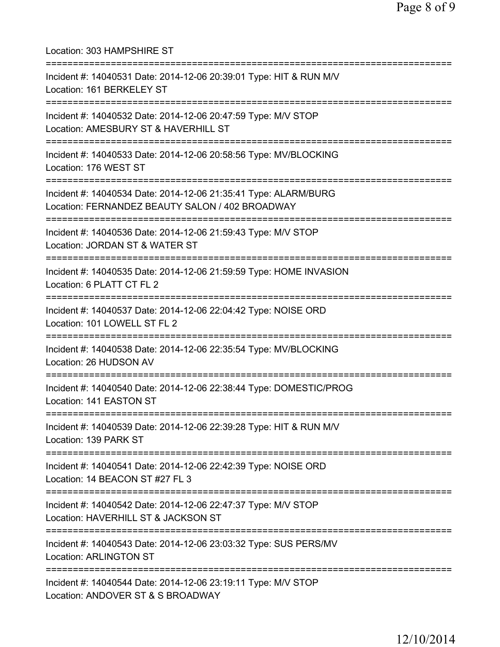| Location: 303 HAMPSHIRE ST                                                                                                                            |
|-------------------------------------------------------------------------------------------------------------------------------------------------------|
| Incident #: 14040531 Date: 2014-12-06 20:39:01 Type: HIT & RUN M/V<br>Location: 161 BERKELEY ST<br>===============================                    |
| Incident #: 14040532 Date: 2014-12-06 20:47:59 Type: M/V STOP<br>Location: AMESBURY ST & HAVERHILL ST<br>===================================          |
| Incident #: 14040533 Date: 2014-12-06 20:58:56 Type: MV/BLOCKING<br>Location: 176 WEST ST                                                             |
| ;==============================<br>Incident #: 14040534 Date: 2014-12-06 21:35:41 Type: ALARM/BURG<br>Location: FERNANDEZ BEAUTY SALON / 402 BROADWAY |
| Incident #: 14040536 Date: 2014-12-06 21:59:43 Type: M/V STOP<br>Location: JORDAN ST & WATER ST                                                       |
| Incident #: 14040535 Date: 2014-12-06 21:59:59 Type: HOME INVASION<br>Location: 6 PLATT CT FL 2                                                       |
| Incident #: 14040537 Date: 2014-12-06 22:04:42 Type: NOISE ORD<br>Location: 101 LOWELL ST FL 2<br>======================                              |
| Incident #: 14040538 Date: 2014-12-06 22:35:54 Type: MV/BLOCKING<br>Location: 26 HUDSON AV                                                            |
| Incident #: 14040540 Date: 2014-12-06 22:38:44 Type: DOMESTIC/PROG<br>Location: 141 EASTON ST                                                         |
| Incident #: 14040539 Date: 2014-12-06 22:39:28 Type: HIT & RUN M/V<br>Location: 139 PARK ST                                                           |
| Incident #: 14040541 Date: 2014-12-06 22:42:39 Type: NOISE ORD<br>Location: 14 BEACON ST #27 FL 3                                                     |
| ===========<br>Incident #: 14040542 Date: 2014-12-06 22:47:37 Type: M/V STOP<br>Location: HAVERHILL ST & JACKSON ST                                   |
| Incident #: 14040543 Date: 2014-12-06 23:03:32 Type: SUS PERS/MV<br><b>Location: ARLINGTON ST</b>                                                     |
| Incident #: 14040544 Date: 2014-12-06 23:19:11 Type: M/V STOP<br>Location: ANDOVER ST & S BROADWAY                                                    |